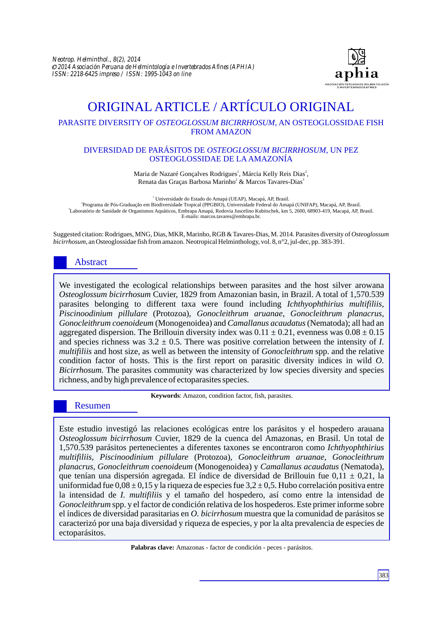

# ORIGINAL ARTICLE / ARTÍCULO ORIGINAL

## PARASITE DIVERSITY OF *OSTEOGLOSSUM BICIRRHOSUM*, AN OSTEOGLOSSIDAE FISH FROM AMAZON

#### DIVERSIDAD DE PARÁSITOS DE *OSTEOGLOSSUM BICIRRHOSUM*, UN PEZ OSTEOGLOSSIDAE DE LAAMAZONÍA

Maria de Nazaré Gonçalves Rodrigues<sup>1</sup>, Márcia Kelly Reis Dias<sup>2</sup>, Renata das Graças Barbosa Marinho<sup>2</sup> & Marcos Tavares-Dias<sup>3</sup>

<sup>1</sup> Universidade do Estado do Amapá (UEAP), Macapá, AP, Brasil. 2 Programa de Pós-Graduação em Biodiversidade Tropical (PPGBIO), Universidade Federal do Amapá (UNIFAP), Macapá, AP, Brasil. 3 Laboratório de Sanidade de Organismos Aquáticos, Embrapa Amapá, Rodovia Juscelino Kubitschek, km 5, 2600, 68903-419, Macapá, AP, Brasil. E-mails: marcos.tavares@embrapa.br.

Suggested citation: Rodrigues, MNG, Dias, MKR, Marinho, RGB & Tavares-Dias, M. 2014. Parasites diversity of *Osteoglossum bicirrhosum*, an Osteoglossidae fish from amazon. Neotropical Helminthology, vol. 8, n°2, jul-dec, pp. 383-391.

## Abstract

We investigated the ecological relationships between parasites and the host silver arowana *Osteoglossum bicirrhosum* Cuvier, 1829 from Amazonian basin, in Brazil. A total of 1,570.539 parasites belonging to different taxa were found including *Ichthyophthirius multifiliis*, *Piscinoodinium pillulare* (Protozoa), *Gonocleithrum aruanae*, *Gonocleithrum planacrus*, *Gonocleithrum coenoideum* (Monogenoidea) and *Camallanus acaudatus* (Nematoda); all had an aggregated dispersion. The Brillouin diversity index was  $0.11 \pm 0.21$ , evenness was  $0.08 \pm 0.15$ and species richness was  $3.2 \pm 0.5$ . There was positive correlation between the intensity of *I*. *multifiliis* and host size, as well as between the intensity of *Gonocleithrum* spp. and the relative condition factor of hosts. This is the first report on parasitic diversity indices in wild *O. Bicirrhosum.* The parasites community was characterized by low species diversity and species richness, and by high prevalence of ectoparasites species.

**Keywords**: Amazon, condition factor, fish, parasites.

## Resumen

Este estudio investigó las relaciones ecológicas entre los parásitos y el hospedero arauana *Osteoglossum bicirrhosum* Cuvier, 1829 de la cuenca del Amazonas, en Brasil. Un total de 1,570.539 parásitos pertenecientes a diferentes taxones se encontraron como *Ichthyophthirius multifiliis*, *Piscinoodinium pillulare* (Protozoa), *Gonocleithrum aruanae*, *Gonocleithrum planacrus*, *Gonocleithrum coenoideum* (Monogenoidea) y *Camallanus acaudatus* (Nematoda), que tenían una dispersión agregada. El índice de diversidad de Brillouin fue  $0.11 \pm 0.21$ , la uniformidad fue  $0.08 \pm 0.15$  y la riqueza de especies fue  $3.2 \pm 0.5$ . Hubo correlación positiva entre la intensidad de *I. multifiliis* y el tamaño del hospedero, así como entre la intensidad de *Gonocleithrum* spp. y el factor de condición relativa de los hospederos. Este primer informe sobre el índices de diversidad parasitarias en *O. bicirrhosum* muestra que la comunidad de parásitos se caracterizó por una baja diversidad y riqueza de especies, y por la alta prevalencia de especies de ectoparásitos.

**Palabras clave:** Amazonas - factor de condición - peces - parásitos.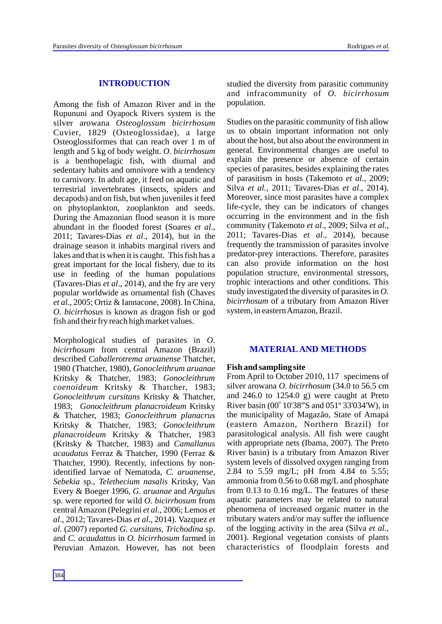## **INTRODUCTION**

Among the fish of Amazon River and in the Rupununi and Oyapock Rivers system is the silver arowana *Osteoglossum bicirrhosum* Cuvier, 1829 (Osteoglossidae), a large Osteoglossiformes that can reach over 1 m of length and 5 kg of body weight. *O. bicirrhosum* is a benthopelagic fish, with diurnal and sedentary habits and omnivore with a tendency to carnivory. In adult age, it feed on aquatic and terrestrial invertebrates (insects, spiders and decapods) and on fish, but when juveniles it feed on phytoplankton, zooplankton and seeds. During the Amazonian flood season it is more abundant in the flooded forest (Soares *et al*., 2011; Tavares-Dias *et al*., 2014), but in the drainage season it inhabits marginal rivers and lakes and that is when it is caught. This fish has a great important for the local fishery, due to its use in feeding of the human populations (Tavares-Dias *et al*., 2014), and the fry are very popular worldwide as ornamental fish (Chaves *et al*., 2005; Ortiz & Iannacone, 2008). In China, *O. bicirrhosus* is known as dragon fish or god fish and their fry reach high market values.

Morphological studies of parasites in *O. bicirrhosum* from central Amazon (Brazil) described *Caballerotrema aruanense* Thatcher, 1980 (Thatcher, 1980), *Gonocleithrum aruanae* Kritsky & Thatcher, 1983; *Gonocleithrum coenoideum* Kritsky & Thatcher, 1983; *Gonocleithrum cursitans* Kritsky & Thatcher, 1983; *Gonocleithrum planacroideum* Kritsky & Thatcher, 1983; *Gonocleithrum planacrus* Kritsky & Thatcher, 1983; *Gonocleithrum planacroideum* Kritsky & Thatcher, 1983 (Kritsky & Thatcher, 1983) and *Camallanus acaudatus* Ferraz & Thatcher, 1990 (Ferraz & Thatcher, 1990). Recently, infections by nonidentified larvae of Nematoda, *C. aruanense*, *Sebekia* sp., *Telethecium nasalis* Kritsky, Van Every & Boeger 1996, *G. aruanae* and *Argulus* sp. were reported for wild *O. bicirrhosum* from central Amazon (Pelegrini *et al*., 2006; Lemos *et al*., 2012; Tavares-Dias *et al*., 2014). Vazquez *et al.* (2007) reported *G. cursitans*, *Trichodina* sp. and *C. acaudattus* in *O. bicirrhosum* farmed in Peruvian Amazon. However, has not been studied the diversity from parasitic community and infracommunity of *O. bicirrhosum* population.

Studies on the parasitic community of fish allow us to obtain important information not only about the host, but also about the environment in general. Environmental changes are useful to explain the presence or absence of certain species of parasites, besides explaining the rates of parasitism in hosts (Takemoto *et al.*, 2009; Silva *et al.*, 2011; Tavares-Dias *et al*., 2014). Moreover, since most parasites have a complex life-cycle, they can be indicators of changes occurring in the environment and in the fish community (Takemoto *et al*., 2009; Silva *et al*., 2011; Tavares-Dias *et al*., 2014), because frequently the transmission of parasites involve predator-prey interactions. Therefore, parasites can also provide information on the host population structure, environmental stressors, trophic interactions and other conditions. This study investigated the diversity of parasites in *O. bicirrhosum* of a tributary from Amazon River system, in eastern Amazon, Brazil.

#### **MATERIALAND METHODS**

#### **Fish and sampling site**

From April to October 2010, 117 specimens of silver arowana *O. bicirrhosum* (34.0 to 56.5 cm and 246.0 to 1254.0 g) were caught at Preto River basin (00 $^{\circ}$  10'38"S and 051 $^{\circ}$  33'034'W), in the municipality of Magazão, State of Amapá (eastern Amazon, Northern Brazil) for parasitological analysis. All fish were caught with appropriate nets (Ibama, 2007). The Preto River basin) is a tributary from Amazon River system levels of dissolved oxygen ranging from 2.84 to 5.59 mg/L; pH from 4.84 to 5.55; ammonia from 0.56 to 0.68 mg/L and phosphate from 0.13 to 0.16 mg/L. The features of these aquatic parameters may be related to natural phenomena of increased organic matter in the tributary waters and/or may suffer the influence of the logging activity in the area (Silva *et al*., 2001). Regional vegetation consists of plants characteristics of floodplain forests and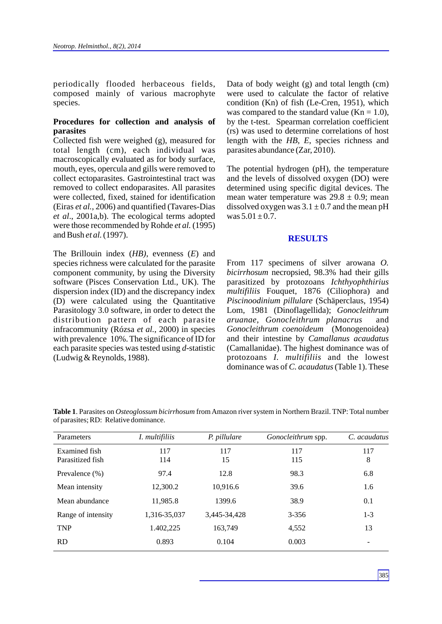periodically flooded herbaceous fields, composed mainly of various macrophyte species.

#### **Procedures for collection and analysis of parasites**

Collected fish were weighed (g), measured for total length (cm), each individual was macroscopically evaluated as for body surface, mouth, eyes, opercula and gills were removed to collect ectoparasites. Gastrointestinal tract was removed to collect endoparasites. All parasites were collected, fixed, stained for identification (Eiras *et al.*, 2006) and quantified (Tavares-Dias *et al*., 2001a,b). The ecological terms adopted were those recommended by Rohde *et al.* (1995) and Bush *et al.*(1997).

The Brillouin index (*HB)*, evenness (*E*) and species richness were calculated for the parasite component community, by using the Diversity software (Pisces Conservation Ltd., UK). The dispersion index (ID) and the discrepancy index (D) were calculated using the Quantitative Parasitology 3.0 software, in order to detect the distribution pattern of each parasite infracommunity (Rózsa *et al.*, 2000) in species with prevalence 10%. The significance of ID for each parasite species was tested using *d-*statistic (Ludwig & Reynolds, 1988).

Data of body weight (g) and total length (cm) were used to calculate the factor of relative condition (Kn) of fish (Le-Cren, 1951), which was compared to the standard value  $(Kn = 1.0)$ , by the t-test. Spearman correlation coefficient (rs) was used to determine correlations of host length with the *HB, E*, species richness and parasites abundance (Zar, 2010).

The potential hydrogen (pH), the temperature and the levels of dissolved oxygen (DO) were determined using specific digital devices. The mean water temperature was  $29.8 \pm 0.9$ ; mean dissolved oxygen was  $3.1 \pm 0.7$  and the mean pH was  $5.01 \pm 0.7$ .

#### **RESULTS**

From 117 specimens of silver arowana *O. bicirrhosum* necropsied, 98.3% had their gills parasitized by protozoans *Ichthyophthirius multifiliis* Fouquet, 1876 (Ciliophora) and *Piscinoodinium pillulare* (Schäperclaus, 1954) Lom, 1981 (Dinoflagellida); *Gonocleithrum aruanae*, *Gonocleithrum planacrus* and *Gonocleithrum coenoideum* (Monogenoidea) and their intestine by *Camallanus acaudatus*  (Camallanidae). The highest dominance was of protozoans *I. multifiliis* and the lowest dominance was of *C. acaudatus*(Table 1). These

**Table 1**.Parasites on *Osteoglossum bicirrhosum* from Amazon river system in Northern Brazil. TNP: Total number of parasites; RD: Relative dominance.

| Parameters         | I. multifiliis | P. pillulare | Gonocleithrum spp. | C. acaudatus    |
|--------------------|----------------|--------------|--------------------|-----------------|
| Examined fish      | 117            | 117          | 117                | 117             |
| Parasitized fish   | 114            | 15           | 115                | 8               |
| Prevalence $(\%)$  | 97.4           | 12.8         | 98.3               | 6.8             |
| Mean intensity     | 12,300.2       | 10,916.6     | 39.6               | 1.6             |
| Mean abundance     | 11,985.8       | 1399.6       | 38.9               | 0.1             |
| Range of intensity | 1,316-35,037   | 3,445-34,428 | $3 - 356$          | $1 - 3$         |
| <b>TNP</b>         | 1.402,225      | 163,749      | 4,552              | 13              |
| <b>RD</b>          | 0.893          | 0.104        | 0.003              | $\qquad \qquad$ |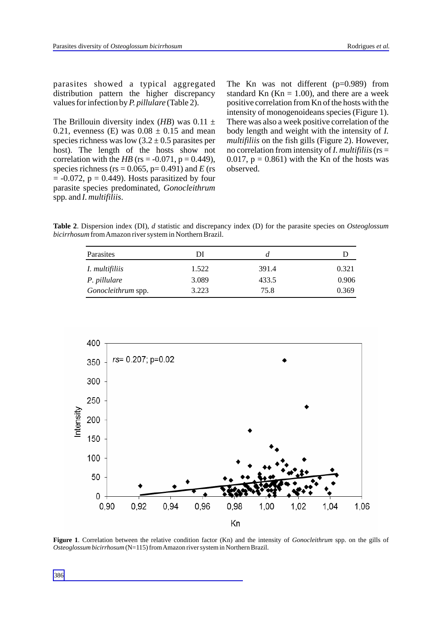parasites showed a typical aggregated distribution pattern the higher discrepancy values for infection by *P. pillulare* (Table 2).

The Brillouin diversity index (*HB*) was  $0.11 \pm$ 0.21, evenness (E) was  $0.08 \pm 0.15$  and mean species richness was low  $(3.2 \pm 0.5)$  parasites per host). The length of the hosts show not correlation with the *HB* (rs =  $-0.071$ , p = 0.449), species richness ( $rs = 0.065$ ,  $p = 0.491$ ) and *E* ( $rs = 0.065$ )  $= -0.072$ ,  $p = 0.449$ ). Hosts parasitized by four parasite species predominated, *Gonocleithrum*  spp*.* and *I. multifiliis*.

The Kn was not different (p=0.989) from standard Kn  $(Kn = 1.00)$ , and there are a week positive correlation from Kn of the hosts with the intensity of monogenoideans species (Figure 1). There was also a week positive correlation of the body length and weight with the intensity of *I. multifiliis* on the fish gills (Figure 2). However, no correlation from intensity of *I. multifiliis*(rs = 0.017,  $p = 0.861$ ) with the Kn of the hosts was observed.

**Table 2**. Dispersion index (DI), *d* statistic and discrepancy index (D) for the parasite species on *Osteoglossum bicirrhosum* from Amazon river system in Northern Brazil.

| Parasites          | ÐI    |       |       |
|--------------------|-------|-------|-------|
| I. multifiliis     | 1.522 | 391.4 | 0.321 |
| P. pillulare       | 3.089 | 433.5 | 0.906 |
| Gonocleithrum spp. | 3.223 | 75.8  | 0.369 |



**Figure 1**. Correlation between the relative condition factor (Kn) and the intensity of *Gonocleithrum* spp. on the gills of *Osteoglossum bicirrhosum* (N=115) from Amazon river system in Northern Brazil.

386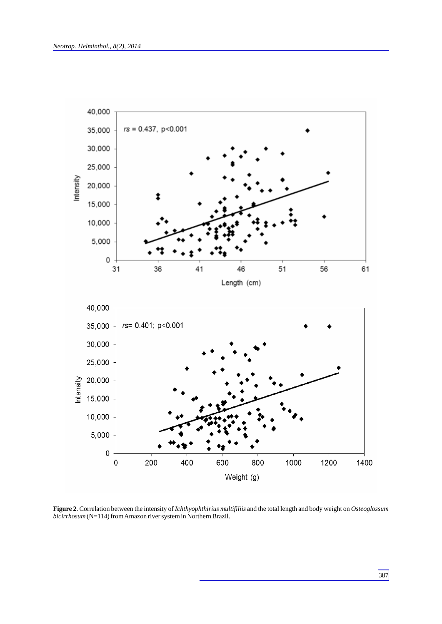

**Figure 2**. Correlation between the intensity of *Ichthyophthirius multifiliis* and the total length and body weight on *Osteoglossum bicirrhosum* (N=114) from Amazon river system in Northern Brazil.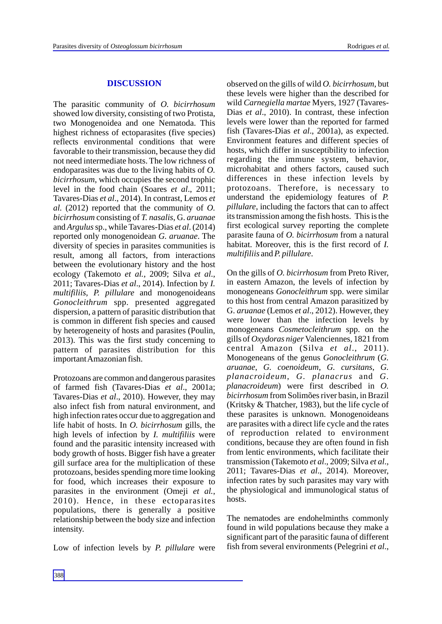#### **DISCUSSION**

The parasitic community of *O. bicirrhosum* showed low diversity, consisting of two Protista, two Monogenoidea and one Nematoda. This highest richness of ectoparasites (five species) reflects environmental conditions that were favorable to their transmission, because they did not need intermediate hosts. The low richness of endoparasites was due to the living habits of *O. bicirrhosum*, which occupies the second trophic level in the food chain (Soares *et al*., 2011; Tavares-Dias *et al*., 2014). In contrast, Lemos *et al.* (2012) reported that the community of *O. bicirrhosum* consisting of *T. nasalis*, G. *aruanae* and *Argulus*sp., while Tavares-Dias *et al*. (2014) reported only monogenoidean *G. aruanae*. The diversity of species in parasites communities is result, among all factors, from interactions between the evolutionary history and the host ecology (Takemoto *et al.*, 2009; Silva *et al*., 2011; Tavares-Dias *et al*., 2014). Infection by *I. multifiliis, P. pillulare* and monogenoideans *Gonocleithrum* spp. presented aggregated dispersion, a pattern of parasitic distribution that is common in different fish species and caused by heterogeneity of hosts and parasites (Poulin, 2013). This was the first study concerning to pattern of parasites distribution for this important Amazonian fish.

Protozoans are common and dangerous parasites of farmed fish (Tavares-Dias *et al*., 2001a; Tavares-Dias *et al*., 2010). However, they may also infect fish from natural environment, and high infection rates occur due to aggregation and life habit of hosts. In *O. bicirrhosum* gills, the high levels of infection by *I. multifiliis* were found and the parasitic intensity increased with body growth of hosts. Bigger fish have a greater gill surface area for the multiplication of these protozoans, besides spending more time looking for food, which increases their exposure to parasites in the environment (Omeji *et al.*, 2010). Hence, in these ectoparasites populations, there is generally a positive relationship between the body size and infection intensity.

Low of infection levels by *P. pillulare* were

observed on the gills of wild *O. bicirrhosum*, but these levels were higher than the described for wild *Carnegiella martae* Myers, 1927 (Tavares-Dias *et al*., 2010). In contrast, these infection levels were lower than the reported for farmed fish (Tavares-Dias *et al*., 2001a), as expected. Environment features and different species of hosts, which differ in susceptibility to infection regarding the immune system, behavior, microhabitat and others factors, caused such differences in these infection levels by protozoans. Therefore, is necessary to understand the epidemiology features of *P. pillulare*, including the factors that can to affect its transmission among the fish hosts. This is the first ecological survey reporting the complete parasite fauna of *O. bicirrhosum* from a natural habitat. Moreover, this is the first record of *I. multifiliis* and *P. pillulare*.

On the gills of *O. bicirrhosum* from Preto River, in eastern Amazon, the levels of infection by monogeneans *Gonocleithrum* spp. were similar to this host from central Amazon parasitized by G. *aruanae* (Lemos *et al*., 2012). However, they were lower than the infection levels by monogeneans *Cosmetocleithrum* spp. on the gills of *Oxydoras niger* Valenciennes, 1821 from central Amazon (Silva *et al*., 2011). Monogeneans of the genus *Gonocleithrum* (*G. aruanae*, *G. coenoideum*, *G. cursitans*, *G. planacroideum*, *G. planacrus* and *G. planacroideum*) were first described in *O. bicirrhosum* from Solimões river basin, in Brazil (Kritsky & Thatcher, 1983), but the life cycle of these parasites is unknown. Monogenoideans are parasites with a direct life cycle and the rates of reproduction related to environment conditions, because they are often found in fish from lentic environments, which facilitate their transmission (Takemoto *et al*., 2009; Silva *et al*., 2011; Tavares-Dias *et al*., 2014). Moreover, infection rates by such parasites may vary with the physiological and immunological status of hosts.

The nematodes are endohelminths commonly found in wild populations because they make a significant part of the parasitic fauna of different fish from several environments (Pelegrini *et al*.,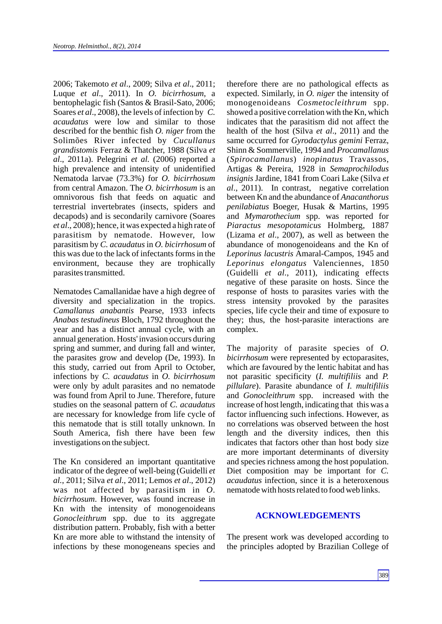2006; Takemoto *et al*., 2009; Silva *et al*., 2011; Luque *et al*., 2011). In *O. bicirrhosum*, a bentophelagic fish (Santos & Brasil-Sato, 2006; Soares *et al*., 2008), the levels of infection by *C. acaudatus* were low and similar to those described for the benthic fish *O. niger* from the Solimões River infected by *Cucullanus grandistomis* Ferraz & Thatcher, 1988 (Silva *et al*., 2011a). Pelegrini *et al.* (2006) reported a high prevalence and intensity of unidentified Nematoda larvae (73.3%) for *O. bicirrhosum* from central Amazon. The *O. bicirrhosum* is an omnivorous fish that feeds on aquatic and terrestrial invertebrates (insects, spiders and decapods) and is secondarily carnivore (Soares *et al*., 2008); hence, it was expected a high rate of parasitism by nematode. However, low parasitism by *C. acaudatus* in *O. bicirrhosum* of this was due to the lack of infectants forms in the environment, because they are trophically parasites transmitted.

Nematodes Camallanidae have a high degree of diversity and specialization in the tropics. *Camallanus anabantis* Pearse, 1933 infects *Anabas testudineus* Bloch, 1792 throughout the year and has a distinct annual cycle, with an annual generation. Hosts' invasion occurs during spring and summer, and during fall and winter, the parasites grow and develop (De, 1993). In this study, carried out from April to October, infections by *C. acaudatus* in *O. bicirrhosum* were only by adult parasites and no nematode was found from April to June. Therefore, future studies on the seasonal pattern of *C. acaudatus* are necessary for knowledge from life cycle of this nematode that is still totally unknown. In South America, fish there have been few investigations on the subject.

The Kn considered an important quantitative indicator of the degree of well-being (Guidelli *et al.*, 2011; Silva *et al*., 2011; Lemos *et al*., 2012) was not affected by parasitism in *O. bicirrhosum*. However, was found increase in Kn with the intensity of monogenoideans *Gonocleithrum* spp. due to its aggregate distribution pattern. Probably, fish with a better Kn are more able to withstand the intensity of infections by these monogeneans species and therefore there are no pathological effects as expected. Similarly, in *O. niger* the intensity of monogenoideans *Cosmetocleithrum* spp. showed a positive correlation with the Kn, which indicates that the parasitism did not affect the health of the host (Silva *et al*., 2011) and the same occurred for *Gyrodactylus gemini* Ferraz, Shinn & Sommerville, 1994 and *Procamallanus* (*Spirocamallanus*) *inopinatus* Travassos, Artigas & Pereira, 1928 in *Semaprochilodus insignis* Jardine, 1841 from Coari Lake (Silva *et al*., 2011). In contrast, negative correlation between Kn and the abundance of *Anacanthorus penilabiatus* Boeger, Husak & Martins, 1995 and *Mymarothecium* spp. was reported for *Piaractus mesopotamicus* Holmberg, 1887 (Lizama *et al*., 2007), as well as between the abundance of monogenoideans and the Kn of *Leporinus lacustris* Amaral-Campos, 1945 and *Leporinus elongatus* Valenciennes, 1850 (Guidelli *et al*., 2011), indicating effects negative of these parasite on hosts. Since the response of hosts to parasites varies with the stress intensity provoked by the parasites species, life cycle their and time of exposure to they; thus, the host-parasite interactions are complex.

The majority of parasite species of *O. bicirrhosum* were represented by ectoparasites, which are favoured by the lentic habitat and has not parasitic specificity (*I. multifiliis* and *P. pillulare*). Parasite abundance of *I. multifiliis* and *Gonocleithrum* spp. increased with the increase of host length, indicating that this was a factor influencing such infections. However, as no correlations was observed between the host length and the diversity indices, then this indicates that factors other than host body size are more important determinants of diversity and species richness among the host population. Diet composition may be important for *C. acaudatus* infection, since it is a heteroxenous nematode with hosts related to food web links.

### **ACKNOWLEDGEMENTS**

The present work was developed according to the principles adopted by Brazilian College of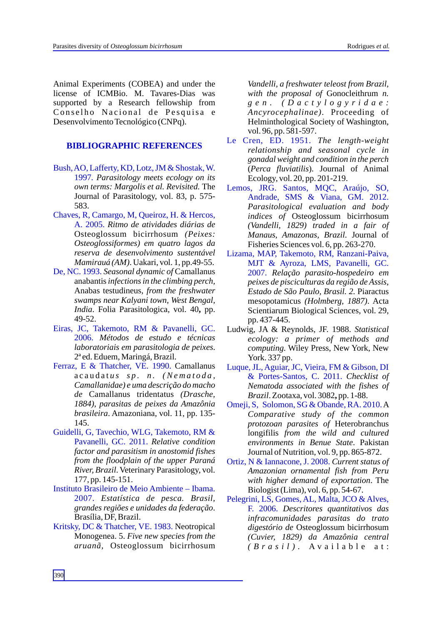Animal Experiments (COBEA) and under the license of ICMBio. M. Tavares-Dias was supported by a Research fellowship from Conselho Nacional de Pesquisa e Desenvolvimento Tecnológico (CNPq).

## **BIBLIOGRAPHIC REFERENCES**

- Bush, AO, Lafferty, KD, Lotz, JM & Shostak, W. 1997*. Parasitology meets ecology on its own terms: Margolis et al. Revisited.* The Journal of Parasitology, vol. 83, p. 575- 583.
- Chaves, R, Camargo, M, Queiroz, H. & Hercos, A. 2005. *Ritmo de atividades diárias de*  Osteoglossum bicirrhosum *(Peixes: Osteoglossiformes) em quatro lagos da reserva de desenvolvimento sustentável Mamirauá (AM)*. Uakari, vol. 1, pp.49-55.
- De, NC. 1993. *Seasonal dynamic of* Camallanus anabantis*infections in the climbing perch,*  Anabas testudineus*, from the freshwater swamps near Kalyani town, West Bengal, India*. Folia Parasitologica, vol. 40**,** pp. 49-52.
- Eiras, JC, Takemoto, RM & Pavanelli, GC. 2006. *Métodos de estudo e técnicas laboratoriais em parasitologia de peixes*. 2ª ed. Eduem, Maringá, Brazil.
- Ferraz, E & Thatcher, VE. 1990. Camallanus a c a u d a t *u s s p . n . (Ne m a t o d a , Camallanidae) e uma descrição do macho de* Camallanus tridentatus *(Drasche, 1884), parasitas de peixes da Amazônia brasileira*. Amazoniana, vol. 11, pp. 135- 145.
- Guidelli, G, Tavechio, WLG, Takemoto, RM & Pavanelli, GC. 2011. *Relative condition factor and parasitism in anostomid fishes from the floodplain of the upper Paraná River, Brazil*. Veterinary Parasitology, vol. 177, pp. 145-151.
- Instituto Brasileiro de Meio Ambiente Ibama. 2007. *Estatística de pesca. Brasil, grandes regiões e unidades da federação*. Brasília, DF, Brazil.
- Kritsky, DC & Thatcher, VE. 1983. Neotropical Monogenea. 5. *Five new species from the aruanã,* Osteoglossum bicirrhosum

*Vandelli, a freshwater teleost from Brazil, with the proposal of* Gonocleithrum *n. g e n . ( D a c t y l o g y r i d a e : Ancyrocephalinae)*. Proceeding of Helminthological Society of Washington, vol. 96, pp. 581-597.

- Le Cren, ED. 1951. *The length-weight relationship and seasonal cycle in gonadal weight and condition in the perch* (*Perca fluviatilis*). Journal of Animal Ecology, vol. 20, pp. 201-219.
- *Parasitological evaluation and body indices of* Osteoglossum bicirrhosum *(Vandelli, 1829) traded in a fair of Manaus, Amazonas, Brazil*. Journal of Fisheries Sciences vol. 6, pp. 263-270. Lemos, JRG. Santos, MQC, Araújo, SO, Andrade, SMS & Viana, GM. 2012.
- *Relação parasito-hospedeiro em*  2007. *peixes de pisciculturas da região de Assis, Estado de São Paulo, Brasil. 2.* Piaractus mesopotamicus *(Holmberg, 1887)*. Acta Scientiarum Biological Sciences, vol. 29, pp. 437-445. Lizama, MAP, Takemoto, RM, Ranzani-Paiva, MJT & Ayroza, LMS, Pavanelli, GC.
- Ludwig, JA & Reynolds, JF. 1988. *Statistical ecology: a primer of methods and computing.* Wiley Press, New York, New York. 337 pp.
- *Checklist of*  & Portes-Santos, C. 2011. *Nematoda associated with the fishes of Brazil*. Zootaxa, vol. 3082**,** pp. 1-88. Luque, JL, Aguiar, JC, Vieira, FM & Gibson, DI
- Omeji, S, Solomon, SG & Obande, RA. 2010. A *Comparative study of the common protozoan parasites of* Heterobranchus longifilis *from the wild and cultured environments in Benue State*. Pakistan Journal of Nutrition, vol. 9, pp. 865-872.
- *Current status of*  Ortiz, N & Iannacone, J. 2008. *Amazonian ornamental fish from Peru with higher demand of exportation*. The Biologist (Lima), vol. 6, pp. 54-67.
- *Descritores quantitativos das*  F. 2006. *infracomunidades parasitas do trato digestório de* Osteoglossum bicirrhosum *(Cuvier, 1829) da Amazônia central ( B r a s i l ) .* A v a i l a b l e a t : Pelegrini, LS, Gomes, AL, Malta, JCO & Alves,